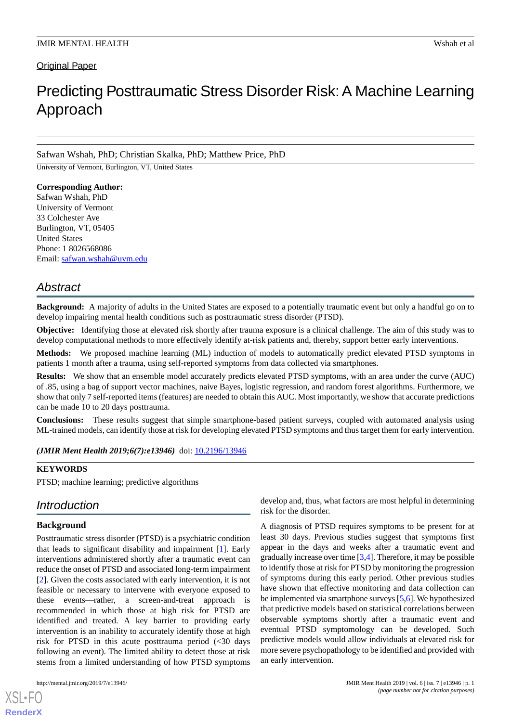# **Original Paper**

# Predicting Posttraumatic Stress Disorder Risk: A Machine Learning Approach

# Safwan Wshah, PhD; Christian Skalka, PhD; Matthew Price, PhD

University of Vermont, Burlington, VT, United States

### **Corresponding Author:**

Safwan Wshah, PhD University of Vermont 33 Colchester Ave Burlington, VT, 05405 United States Phone: 1 8026568086 Email: [safwan.wshah@uvm.edu](mailto:safwan.wshah@uvm.edu)

# *Abstract*

**Background:** A majority of adults in the United States are exposed to a potentially traumatic event but only a handful go on to develop impairing mental health conditions such as posttraumatic stress disorder (PTSD).

**Objective:** Identifying those at elevated risk shortly after trauma exposure is a clinical challenge. The aim of this study was to develop computational methods to more effectively identify at-risk patients and, thereby, support better early interventions.

**Methods:** We proposed machine learning (ML) induction of models to automatically predict elevated PTSD symptoms in patients 1 month after a trauma, using self-reported symptoms from data collected via smartphones.

**Results:** We show that an ensemble model accurately predicts elevated PTSD symptoms, with an area under the curve (AUC) of .85, using a bag of support vector machines, naive Bayes, logistic regression, and random forest algorithms. Furthermore, we show that only 7 self-reported items (features) are needed to obtain this AUC. Most importantly, we show that accurate predictions can be made 10 to 20 days posttrauma.

**Conclusions:** These results suggest that simple smartphone-based patient surveys, coupled with automated analysis using ML-trained models, can identify those at risk for developing elevated PTSD symptoms and thus target them for early intervention.

*(JMIR Ment Health 2019;6(7):e13946)* doi:  $10.2196/13946$ 

# **KEYWORDS**

PTSD; machine learning; predictive algorithms

# *Introduction*

# **Background**

Posttraumatic stress disorder (PTSD) is a psychiatric condition that leads to significant disability and impairment [\[1](#page-10-0)]. Early interventions administered shortly after a traumatic event can reduce the onset of PTSD and associated long-term impairment [[2\]](#page-10-1). Given the costs associated with early intervention, it is not feasible or necessary to intervene with everyone exposed to these events—rather, a screen-and-treat approach is recommended in which those at high risk for PTSD are identified and treated. A key barrier to providing early intervention is an inability to accurately identify those at high risk for PTSD in this acute posttrauma period (<30 days following an event). The limited ability to detect those at risk stems from a limited understanding of how PTSD symptoms

[XSL](http://www.w3.org/Style/XSL)•FO **[RenderX](http://www.renderx.com/)**

develop and, thus, what factors are most helpful in determining risk for the disorder.

A diagnosis of PTSD requires symptoms to be present for at least 30 days. Previous studies suggest that symptoms first appear in the days and weeks after a traumatic event and gradually increase over time [\[3](#page-10-2),[4\]](#page-10-3). Therefore, it may be possible to identify those at risk for PTSD by monitoring the progression of symptoms during this early period. Other previous studies have shown that effective monitoring and data collection can be implemented via smartphone surveys [[5,](#page-10-4)[6](#page-10-5)]. We hypothesized that predictive models based on statistical correlations between observable symptoms shortly after a traumatic event and eventual PTSD symptomology can be developed. Such predictive models would allow individuals at elevated risk for more severe psychopathology to be identified and provided with an early intervention.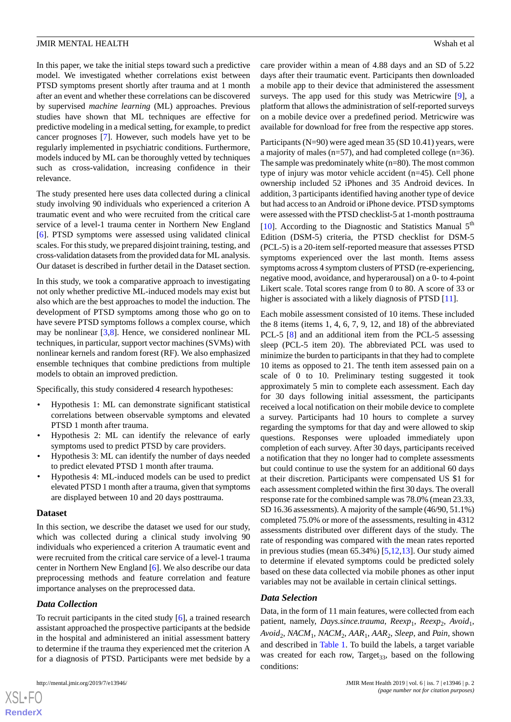In this paper, we take the initial steps toward such a predictive model. We investigated whether correlations exist between PTSD symptoms present shortly after trauma and at 1 month after an event and whether these correlations can be discovered by supervised *machine learning* (ML) approaches. Previous studies have shown that ML techniques are effective for predictive modeling in a medical setting, for example, to predict cancer prognoses [\[7](#page-10-6)]. However, such models have yet to be regularly implemented in psychiatric conditions. Furthermore, models induced by ML can be thoroughly vetted by techniques such as cross-validation, increasing confidence in their relevance.

The study presented here uses data collected during a clinical study involving 90 individuals who experienced a criterion A traumatic event and who were recruited from the critical care service of a level-1 trauma center in Northern New England [[6\]](#page-10-5). PTSD symptoms were assessed using validated clinical scales. For this study, we prepared disjoint training, testing, and cross-validation datasets from the provided data for ML analysis. Our dataset is described in further detail in the Dataset section.

In this study, we took a comparative approach to investigating not only whether predictive ML-induced models may exist but also which are the best approaches to model the induction. The development of PTSD symptoms among those who go on to have severe PTSD symptoms follows a complex course, which may be nonlinear [\[3,](#page-10-2)[8\]](#page-10-7). Hence, we considered nonlinear ML techniques, in particular, support vector machines (SVMs) with nonlinear kernels and random forest (RF). We also emphasized ensemble techniques that combine predictions from multiple models to obtain an improved prediction.

Specifically, this study considered 4 research hypotheses:

- Hypothesis 1: ML can demonstrate significant statistical correlations between observable symptoms and elevated PTSD 1 month after trauma.
- Hypothesis 2: ML can identify the relevance of early symptoms used to predict PTSD by care providers.
- Hypothesis 3: ML can identify the number of days needed to predict elevated PTSD 1 month after trauma.
- Hypothesis 4: ML-induced models can be used to predict elevated PTSD 1 month after a trauma, given that symptoms are displayed between 10 and 20 days posttrauma.

### **Dataset**

In this section, we describe the dataset we used for our study, which was collected during a clinical study involving 90 individuals who experienced a criterion A traumatic event and were recruited from the critical care service of a level-1 trauma center in Northern New England [\[6](#page-10-5)]. We also describe our data preprocessing methods and feature correlation and feature importance analyses on the preprocessed data.

# *Data Collection*

To recruit participants in the cited study [[6\]](#page-10-5), a trained research assistant approached the prospective participants at the bedside in the hospital and administered an initial assessment battery to determine if the trauma they experienced met the criterion A for a diagnosis of PTSD. Participants were met bedside by a

care provider within a mean of 4.88 days and an SD of 5.22 days after their traumatic event. Participants then downloaded a mobile app to their device that administered the assessment surveys. The app used for this study was Metricwire [\[9](#page-10-8)], a platform that allows the administration of self-reported surveys on a mobile device over a predefined period. Metricwire was available for download for free from the respective app stores.

Participants (N=90) were aged mean 35 (SD 10.41) years, were a majority of males (n=57), and had completed college (n=36). The sample was predominately white (n=80). The most common type of injury was motor vehicle accident (n=45). Cell phone ownership included 52 iPhones and 35 Android devices. In addition, 3 participants identified having another type of device but had access to an Android or iPhone device. PTSD symptoms were assessed with the PTSD checklist-5 at 1-month posttrauma [[10\]](#page-10-9). According to the Diagnostic and Statistics Manual  $5<sup>th</sup>$ Edition (DSM-5) criteria, the PTSD checklist for DSM-5 (PCL-5) is a 20-item self-reported measure that assesses PTSD symptoms experienced over the last month. Items assess symptoms across 4 symptom clusters of PTSD (re-experiencing, negative mood, avoidance, and hyperarousal) on a 0- to 4-point Likert scale. Total scores range from 0 to 80. A score of 33 or higher is associated with a likely diagnosis of PTSD [\[11](#page-10-10)].

Each mobile assessment consisted of 10 items. These included the 8 items (items 1, 4, 6, 7, 9, 12, and 18) of the abbreviated PCL-5  $[8]$  $[8]$  and an additional item from the PCL-5 assessing sleep (PCL-5 item 20). The abbreviated PCL was used to minimize the burden to participants in that they had to complete 10 items as opposed to 21. The tenth item assessed pain on a scale of 0 to 10. Preliminary testing suggested it took approximately 5 min to complete each assessment. Each day for 30 days following initial assessment, the participants received a local notification on their mobile device to complete a survey. Participants had 10 hours to complete a survey regarding the symptoms for that day and were allowed to skip questions. Responses were uploaded immediately upon completion of each survey. After 30 days, participants received a notification that they no longer had to complete assessments but could continue to use the system for an additional 60 days at their discretion. Participants were compensated US \$1 for each assessment completed within the first 30 days. The overall response rate for the combined sample was 78.0% (mean 23.33, SD 16.36 assessments). A majority of the sample (46/90, 51.1%) completed 75.0% or more of the assessments, resulting in 4312 assessments distributed over different days of the study. The rate of responding was compared with the mean rates reported in previous studies (mean 65.34%) [[5,](#page-10-4)[12,](#page-10-11)[13\]](#page-10-12). Our study aimed to determine if elevated symptoms could be predicted solely based on these data collected via mobile phones as other input variables may not be available in certain clinical settings.

# *Data Selection*

Data, in the form of 11 main features, were collected from each patient, namely, Days.since.trauma, Reexp<sub>1</sub>, Reexp<sub>2</sub>, Avoid<sub>1</sub>,  $Avoid<sub>2</sub>$ ,  $NACM<sub>1</sub>$ ,  $NACM<sub>2</sub>$ ,  $AAR<sub>1</sub>$ ,  $AAR<sub>2</sub>$ ,  $Sleep$ , and  $Pain$ , shown and described in [Table 1.](#page-2-0) To build the labels, a target variable was created for each row, Target<sub>33</sub>, based on the following conditions:

 $XS$  $\cdot$ FC **[RenderX](http://www.renderx.com/)**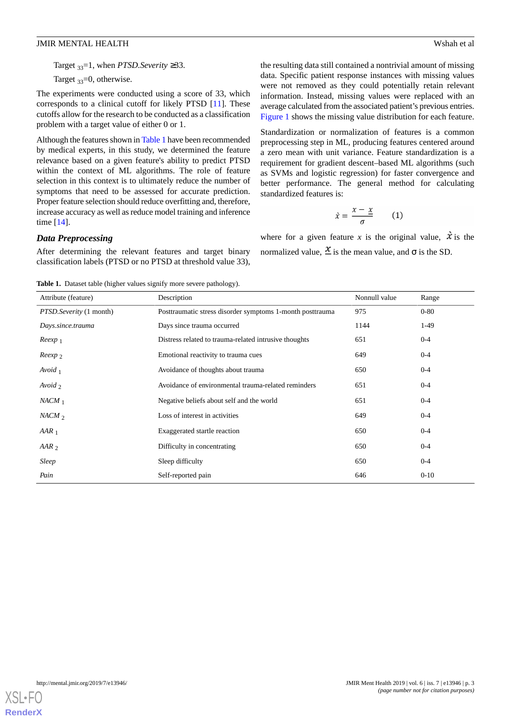Target 33=1, when *PTSD.Severity* ≥33.

Target  $_{33}$ =0, otherwise.

The experiments were conducted using a score of 33, which corresponds to a clinical cutoff for likely PTSD [\[11](#page-10-10)]. These cutoffs allow for the research to be conducted as a classification problem with a target value of either 0 or 1.

Although the features shown in [Table 1](#page-2-0) have been recommended by medical experts, in this study, we determined the feature relevance based on a given feature's ability to predict PTSD within the context of ML algorithms. The role of feature selection in this context is to ultimately reduce the number of symptoms that need to be assessed for accurate prediction. Proper feature selection should reduce overfitting and, therefore, increase accuracy as well as reduce model training and inference time [\[14](#page-10-13)].

the resulting data still contained a nontrivial amount of missing data. Specific patient response instances with missing values were not removed as they could potentially retain relevant information. Instead, missing values were replaced with an average calculated from the associated patient's previous entries. [Figure 1](#page-3-0) shows the missing value distribution for each feature.

Standardization or normalization of features is a common preprocessing step in ML, producing features centered around a zero mean with unit variance. Feature standardization is a requirement for gradient descent–based ML algorithms (such as SVMs and logistic regression) for faster convergence and better performance. The general method for calculating standardized features is:

$$
\dot{x} = \frac{x - \underline{x}}{\sigma} \qquad (1)
$$

*Data Preprocessing*

<span id="page-2-0"></span>After determining the relevant features and target binary classification labels (PTSD or no PTSD at threshold value 33),

where for a given feature *x* is the original value,  $\hat{x}$  is the normalized value,  $\frac{x}{n}$  is the mean value, and  $\sigma$  is the SD.

Table 1. Dataset table (higher values signify more severe pathology).

| Attribute (feature)            | Description                                               | Nonnull value | Range    |
|--------------------------------|-----------------------------------------------------------|---------------|----------|
| <i>PTSD.Severity</i> (1 month) | Posttraumatic stress disorder symptoms 1-month posttrauma | 975           | $0 - 80$ |
| Days.since.trauma              | Days since trauma occurred                                | 1144          | $1-49$   |
| $Reexp_1$                      | Distress related to trauma-related intrusive thoughts     | 651           | $0 - 4$  |
| $Reexp_2$                      | Emotional reactivity to trauma cues                       | 649           | $0 - 4$  |
| Avoid $_1$                     | Avoidance of thoughts about trauma                        | 650           | $0 - 4$  |
| Avoid $\gamma$                 | Avoidance of environmental trauma-related reminders       | 651           | $0 - 4$  |
| $NACM_1$                       | Negative beliefs about self and the world                 | 651           | $0 - 4$  |
| $NACM_2$                       | Loss of interest in activities                            | 649           | $0 - 4$  |
| $AAR_1$                        | Exaggerated startle reaction                              | 650           | $0 - 4$  |
| $AAR_2$                        | Difficulty in concentrating                               | 650           | $0 - 4$  |
| Sleep                          | Sleep difficulty                                          | 650           | $0 - 4$  |
| Pain                           | Self-reported pain                                        | 646           | $0 - 10$ |

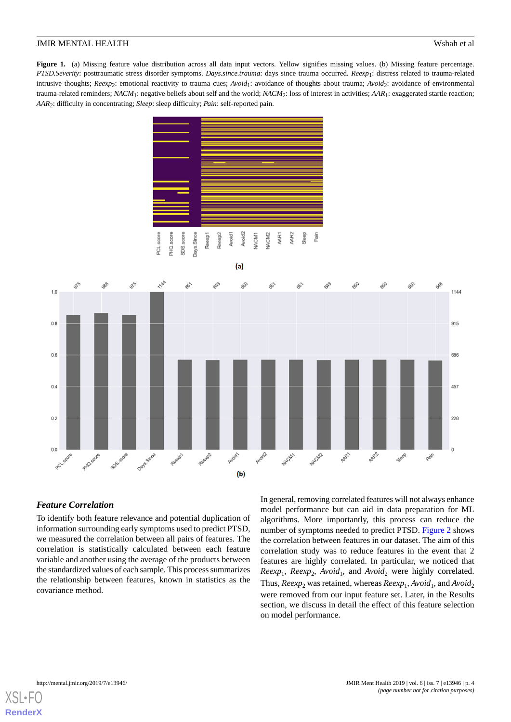<span id="page-3-0"></span>Figure 1. (a) Missing feature value distribution across all data input vectors. Yellow signifies missing values. (b) Missing feature percentage. *PTSD.Severity*: posttraumatic stress disorder symptoms. *Days.since.trauma*: days since trauma occurred. *Reexp*<sup>1</sup> : distress related to trauma-related intrusive thoughts; *Reexp*<sub>2</sub>: emotional reactivity to trauma cues; *Avoid*<sub>1</sub>: avoidance of thoughts about trauma; *Avoid*<sub>2</sub>: avoidance of environmental trauma-related reminders; *NACM*<sup>1</sup> : negative beliefs about self and the world; *NACM*<sup>2</sup> : loss of interest in activities; *AAR*<sup>1</sup> : exaggerated startle reaction; *AAR*<sup>2</sup> : difficulty in concentrating; *Sleep*: sleep difficulty; *Pain*: self-reported pain.





# *Feature Correlation*

To identify both feature relevance and potential duplication of information surrounding early symptoms used to predict PTSD, we measured the correlation between all pairs of features. The correlation is statistically calculated between each feature variable and another using the average of the products between the standardized values of each sample. This process summarizes the relationship between features, known in statistics as the covariance method.

In general, removing correlated features will not always enhance model performance but can aid in data preparation for ML algorithms. More importantly, this process can reduce the number of symptoms needed to predict PTSD. [Figure 2](#page-4-0) shows the correlation between features in our dataset. The aim of this correlation study was to reduce features in the event that 2 features are highly correlated. In particular, we noticed that  $Reexp_1$ ,  $Reexp_2$ ,  $Avoid_1$ , and  $Avoid_2$  were highly correlated. Thus,  $Reexp_2$  was retained, whereas  $Reexp_1$ ,  $Avoid_1$ , and  $Avoid_2$ were removed from our input feature set. Later, in the Results section, we discuss in detail the effect of this feature selection on model performance.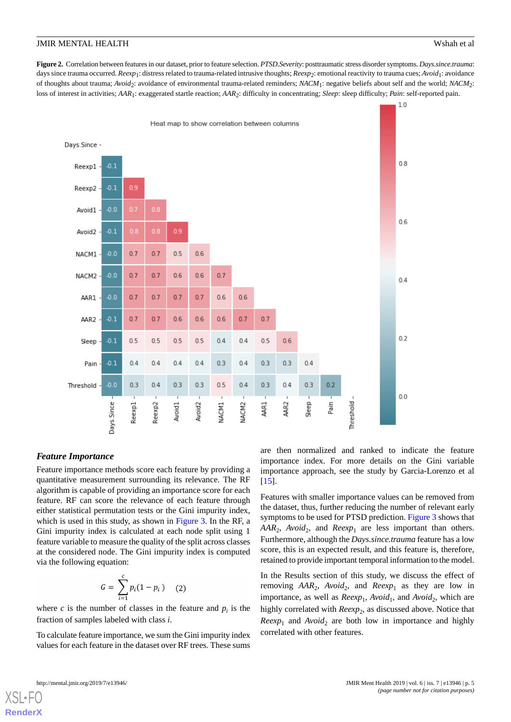<span id="page-4-0"></span>**Figure 2.** Correlation between features in our dataset, prior to feature selection. *PTSD.Severity*: posttraumatic stress disorder symptoms. *Days.since.trauma*: days since trauma occurred. *Reexp*1: distress related to trauma-related intrusive thoughts; *Reexp*2: emotional reactivity to trauma cues; *Avoid*1: avoidance of thoughts about trauma; *Avoid<sub>2</sub>*: avoidance of environmental trauma-related reminders; *NACM*<sub>1</sub>: negative beliefs about self and the world; *NACM*<sub>2</sub>: loss of interest in activities; *AAR*<sup>1</sup> : exaggerated startle reaction; *AAR*<sup>2</sup> : difficulty in concentrating; *Sleep*: sleep difficulty; *Pain*: self-reported pain.



#### *Feature Importance*

Feature importance methods score each feature by providing a quantitative measurement surrounding its relevance. The RF algorithm is capable of providing an importance score for each feature. RF can score the relevance of each feature through either statistical permutation tests or the Gini impurity index, which is used in this study, as shown in [Figure 3.](#page-5-0) In the RF, a Gini impurity index is calculated at each node split using 1 feature variable to measure the quality of the split across classes at the considered node. The Gini impurity index is computed via the following equation:

$$
G = \sum_{i=1}^{c} p_i (1 - p_i) \quad (2)
$$

where *c* is the number of classes in the feature and  $p_i$  is the fraction of samples labeled with class *i*.

To calculate feature importance, we sum the Gini impurity index values for each feature in the dataset over RF trees. These sums are then normalized and ranked to indicate the feature importance index. For more details on the Gini variable importance approach, see the study by Garcia-Lorenzo et al [[15\]](#page-10-14).

Features with smaller importance values can be removed from the dataset, thus, further reducing the number of relevant early symptoms to be used for PTSD prediction. [Figure 3](#page-5-0) shows that  $AAR_2$ ,  $Avoid_2$ , and  $Reexp_1$  are less important than others. Furthermore, although the *Days.since.trauma* feature has a low score, this is an expected result, and this feature is, therefore, retained to provide important temporal information to the model.

In the Results section of this study, we discuss the effect of removing  $AAR_2$ ,  $Avoid_2$ , and  $Reexp_1$  as they are low in importance, as well as *Reexp*<sub>1</sub>, *Avoid*<sub>1</sub>, and *Avoid*<sub>2</sub>, which are highly correlated with *Reexp*<sub>2</sub>, as discussed above. Notice that  $Reexp<sub>1</sub>$  and  $Avoid<sub>2</sub>$  are both low in importance and highly correlated with other features.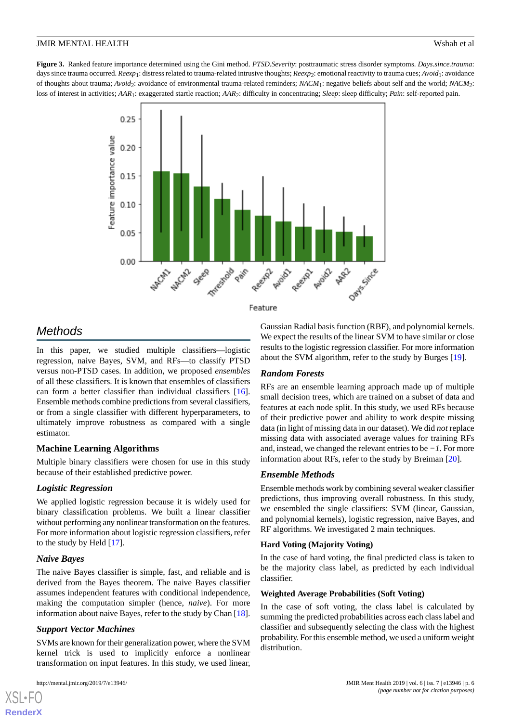<span id="page-5-0"></span>**Figure 3.** Ranked feature importance determined using the Gini method. *PTSD.Severity*: posttraumatic stress disorder symptoms. *Days.since.trauma*: days since trauma occurred. *Reexp*1: distress related to trauma-related intrusive thoughts; *Reexp*2: emotional reactivity to trauma cues; *Avoid*1: avoidance of thoughts about trauma; *Avoid<sub>2</sub>*: avoidance of environmental trauma-related reminders; *NACM*<sub>1</sub>: negative beliefs about self and the world; *NACM*<sub>2</sub>: loss of interest in activities; *AAR*<sup>1</sup> : exaggerated startle reaction; *AAR*<sup>2</sup> : difficulty in concentrating; *Sleep*: sleep difficulty; *Pain*: self-reported pain.



#### Feature

# *Methods*

In this paper, we studied multiple classifiers—logistic regression, naive Bayes, SVM, and RFs—to classify PTSD versus non-PTSD cases. In addition, we proposed *ensembles* of all these classifiers. It is known that ensembles of classifiers can form a better classifier than individual classifiers [[16\]](#page-10-15). Ensemble methods combine predictions from several classifiers, or from a single classifier with different hyperparameters, to ultimately improve robustness as compared with a single estimator.

# **Machine Learning Algorithms**

Multiple binary classifiers were chosen for use in this study because of their established predictive power.

# *Logistic Regression*

We applied logistic regression because it is widely used for binary classification problems. We built a linear classifier without performing any nonlinear transformation on the features. For more information about logistic regression classifiers, refer to the study by Held [[17\]](#page-11-0).

# *Naive Bayes*

The naive Bayes classifier is simple, fast, and reliable and is derived from the Bayes theorem. The naive Bayes classifier assumes independent features with conditional independence, making the computation simpler (hence, *naive*). For more information about naive Bayes, refer to the study by Chan [[18\]](#page-11-1).

### *Support Vector Machines*

SVMs are known for their generalization power, where the SVM kernel trick is used to implicitly enforce a nonlinear transformation on input features. In this study, we used linear,

[XSL](http://www.w3.org/Style/XSL)•FO **[RenderX](http://www.renderx.com/)**

Gaussian Radial basis function (RBF), and polynomial kernels. We expect the results of the linear SVM to have similar or close results to the logistic regression classifier. For more information about the SVM algorithm, refer to the study by Burges [\[19](#page-11-2)].

# *Random Forests*

RFs are an ensemble learning approach made up of multiple small decision trees, which are trained on a subset of data and features at each node split. In this study, we used RFs because of their predictive power and ability to work despite missing data (in light of missing data in our dataset). We did *not* replace missing data with associated average values for training RFs and, instead, we changed the relevant entries to be *−1*. For more information about RFs, refer to the study by Breiman [\[20](#page-11-3)].

# *Ensemble Methods*

Ensemble methods work by combining several weaker classifier predictions, thus improving overall robustness. In this study, we ensembled the single classifiers: SVM (linear, Gaussian, and polynomial kernels), logistic regression, naive Bayes, and RF algorithms. We investigated 2 main techniques.

### **Hard Voting (Majority Voting)**

In the case of hard voting, the final predicted class is taken to be the majority class label, as predicted by each individual classifier.

### **Weighted Average Probabilities (Soft Voting)**

In the case of soft voting, the class label is calculated by summing the predicted probabilities across each class label and classifier and subsequently selecting the class with the highest probability. For this ensemble method, we used a uniform weight distribution.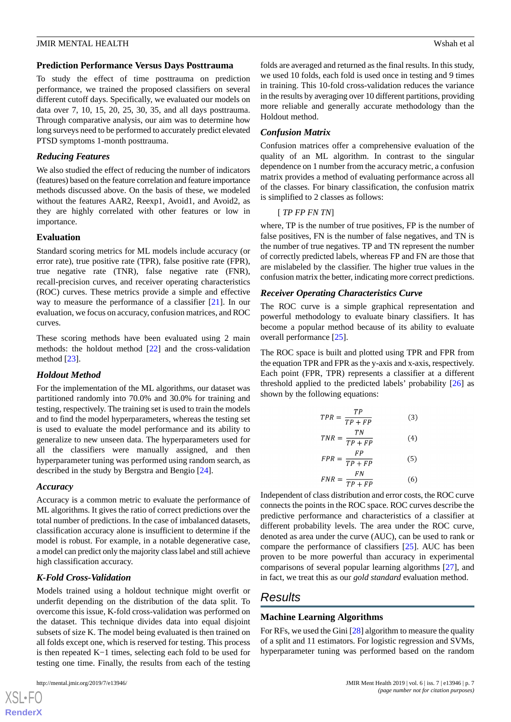#### **Prediction Performance Versus Days Posttrauma**

To study the effect of time posttrauma on prediction performance, we trained the proposed classifiers on several different cutoff days. Specifically, we evaluated our models on data over 7, 10, 15, 20, 25, 30, 35, and all days posttrauma. Through comparative analysis, our aim was to determine how long surveys need to be performed to accurately predict elevated PTSD symptoms 1-month posttrauma.

#### *Reducing Features*

We also studied the effect of reducing the number of indicators (features) based on the feature correlation and feature importance methods discussed above. On the basis of these, we modeled without the features AAR2, Reexp1, Avoid1, and Avoid2, as they are highly correlated with other features or low in importance.

#### **Evaluation**

Standard scoring metrics for ML models include accuracy (or error rate), true positive rate (TPR), false positive rate (FPR), true negative rate (TNR), false negative rate (FNR), recall-precision curves, and receiver operating characteristics (ROC) curves. These metrics provide a simple and effective way to measure the performance of a classifier [\[21](#page-11-4)]. In our evaluation, we focus on accuracy, confusion matrices, and ROC curves.

These scoring methods have been evaluated using 2 main methods: the holdout method [[22\]](#page-11-5) and the cross-validation method [\[23](#page-11-6)].

### *Holdout Method*

For the implementation of the ML algorithms, our dataset was partitioned randomly into 70.0% and 30.0% for training and testing, respectively. The training set is used to train the models and to find the model hyperparameters, whereas the testing set is used to evaluate the model performance and its ability to generalize to new unseen data. The hyperparameters used for all the classifiers were manually assigned, and then hyperparameter tuning was performed using random search, as described in the study by Bergstra and Bengio [[24\]](#page-11-7).

#### *Accuracy*

Accuracy is a common metric to evaluate the performance of ML algorithms. It gives the ratio of correct predictions over the total number of predictions. In the case of imbalanced datasets, classification accuracy alone is insufficient to determine if the model is robust. For example, in a notable degenerative case, a model can predict only the majority class label and still achieve high classification accuracy.

### *K-Fold Cross-Validation*

Models trained using a holdout technique might overfit or underfit depending on the distribution of the data split. To overcome this issue, K-fold cross-validation was performed on the dataset. This technique divides data into equal disjoint subsets of size K. The model being evaluated is then trained on all folds except one, which is reserved for testing. This process is then repeated K−1 times, selecting each fold to be used for testing one time. Finally, the results from each of the testing

[XSL](http://www.w3.org/Style/XSL)•FO **[RenderX](http://www.renderx.com/)**

folds are averaged and returned as the final results. In this study, we used 10 folds, each fold is used once in testing and 9 times in training. This 10-fold cross-validation reduces the variance in the results by averaging over 10 different partitions, providing more reliable and generally accurate methodology than the Holdout method.

#### *Confusion Matrix*

Confusion matrices offer a comprehensive evaluation of the quality of an ML algorithm. In contrast to the singular dependence on 1 number from the accuracy metric, a confusion matrix provides a method of evaluating performance across all of the classes. For binary classification, the confusion matrix is simplified to 2 classes as follows:

# [ *TP FP FN TN*]

where, TP is the number of true positives, FP is the number of false positives, FN is the number of false negatives, and TN is the number of true negatives. TP and TN represent the number of correctly predicted labels, whereas FP and FN are those that are mislabeled by the classifier. The higher true values in the confusion matrix the better, indicating more correct predictions.

#### *Receiver Operating Characteristics Curve*

The ROC curve is a simple graphical representation and powerful methodology to evaluate binary classifiers. It has become a popular method because of its ability to evaluate overall performance [[25\]](#page-11-8).

The ROC space is built and plotted using TPR and FPR from the equation TPR and FPR as the y-axis and x-axis, respectively. Each point (FPR, TPR) represents a classifier at a different threshold applied to the predicted labels' probability [\[26](#page-11-9)] as shown by the following equations:

$$
TPR = \frac{TP}{TP + FP}
$$
(3)  

$$
TNP = \frac{TN}{TN}
$$
(4)

$$
TNR = \frac{}{TP + FP}
$$
 (4)

$$
FPR = \frac{FP}{TP + FP}
$$
 (5)

 $FNR = \frac{P}{TP + FP}$  $(6)$ 

Independent of class distribution and error costs, the ROC curve connects the points in the ROC space. ROC curves describe the predictive performance and characteristics of a classifier at different probability levels. The area under the ROC curve, denoted as area under the curve (AUC), can be used to rank or compare the performance of classifiers [\[25](#page-11-8)]. AUC has been proven to be more powerful than accuracy in experimental comparisons of several popular learning algorithms [\[27](#page-11-10)], and in fact, we treat this as our *gold standard* evaluation method.

# *Results*

### **Machine Learning Algorithms**

For RFs, we used the Gini [\[28](#page-11-11)] algorithm to measure the quality of a split and 11 estimators. For logistic regression and SVMs, hyperparameter tuning was performed based on the random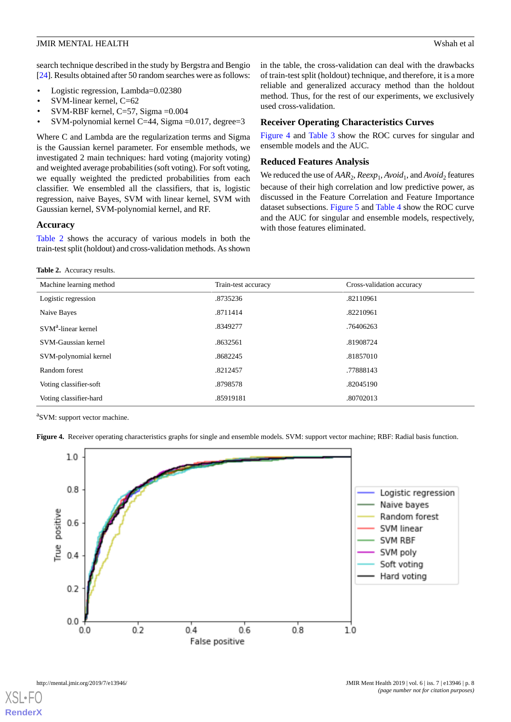search technique described in the study by Bergstra and Bengio [[24\]](#page-11-7). Results obtained after 50 random searches were as follows:

- Logistic regression, Lambda=0.02380
- SVM-linear kernel, C=62
- SVM-RBF kernel, C=57, Sigma =0.004
- SVM-polynomial kernel C=44, Sigma =0.017, degree=3

Where C and Lambda are the regularization terms and Sigma is the Gaussian kernel parameter. For ensemble methods, we investigated 2 main techniques: hard voting (majority voting) and weighted average probabilities (soft voting). For soft voting, we equally weighted the predicted probabilities from each classifier. We ensembled all the classifiers, that is, logistic regression, naive Bayes, SVM with linear kernel, SVM with Gaussian kernel, SVM-polynomial kernel, and RF.

#### **Accuracy**

<span id="page-7-0"></span>[Table 2](#page-7-0) shows the accuracy of various models in both the train-test split (holdout) and cross-validation methods. As shown

**Table 2.** Accuracy results.

in the table, the cross-validation can deal with the drawbacks of train-test split (holdout) technique, and therefore, it is a more reliable and generalized accuracy method than the holdout method. Thus, for the rest of our experiments, we exclusively used cross-validation.

#### **Receiver Operating Characteristics Curves**

[Figure 4](#page-7-1) and [Table 3](#page-8-0) show the ROC curves for singular and ensemble models and the AUC.

#### **Reduced Features Analysis**

We reduced the use of  $AAR_2$ ,  $Reexp_1$ ,  $Avoid_1$ , and  $Avoid_2$  features because of their high correlation and low predictive power, as discussed in the Feature Correlation and Feature Importance dataset subsections. [Figure 5](#page-8-1) and [Table 4](#page-8-2) show the ROC curve and the AUC for singular and ensemble models, respectively, with those features eliminated.

| Machine learning method | Train-test accuracy | Cross-validation accuracy |
|-------------------------|---------------------|---------------------------|
| Logistic regression     | .8735236            | .82110961                 |
| Naive Bayes             | .8711414            | .82210961                 |
| $SVMa$ -linear kernel   | .8349277            | .76406263                 |
| SVM-Gaussian kernel     | .8632561            | .81908724                 |
| SVM-polynomial kernel   | .8682245            | .81857010                 |
| Random forest           | .8212457            | .77888143                 |
| Voting classifier-soft  | .8798578            | .82045190                 |
| Voting classifier-hard  | .85919181           | .80702013                 |

<span id="page-7-1"></span><sup>a</sup>SVM: support vector machine.

**Figure 4.** Receiver operating characteristics graphs for single and ensemble models. SVM: support vector machine; RBF: Radial basis function.

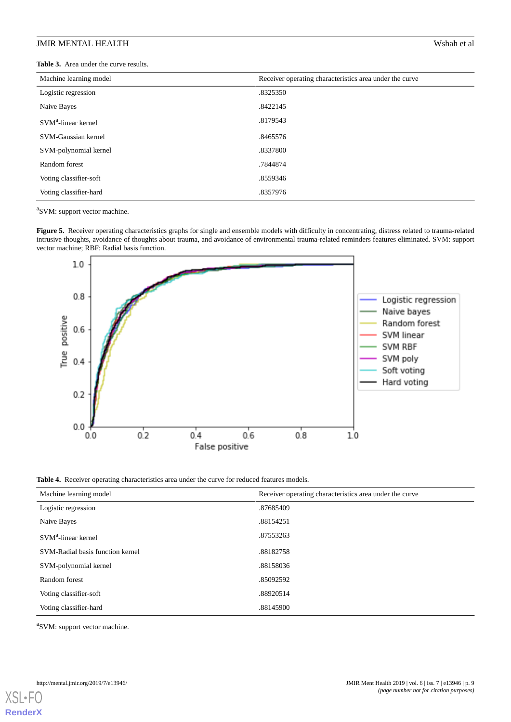<span id="page-8-0"></span>**Table 3.** Area under the curve results.

| Machine learning model          | Receiver operating characteristics area under the curve |
|---------------------------------|---------------------------------------------------------|
| Logistic regression             | .8325350                                                |
| Naive Bayes                     | .8422145                                                |
| SVM <sup>a</sup> -linear kernel | .8179543                                                |
| SVM-Gaussian kernel             | .8465576                                                |
| SVM-polynomial kernel           | .8337800                                                |
| Random forest                   | .7844874                                                |
| Voting classifier-soft          | .8559346                                                |
| Voting classifier-hard          | .8357976                                                |

<span id="page-8-1"></span><sup>a</sup>SVM: support vector machine.

**Figure 5.** Receiver operating characteristics graphs for single and ensemble models with difficulty in concentrating, distress related to trauma-related intrusive thoughts, avoidance of thoughts about trauma, and avoidance of environmental trauma-related reminders features eliminated. SVM: support vector machine; RBF: Radial basis function.



<span id="page-8-2"></span>**Table 4.** Receiver operating characteristics area under the curve for reduced features models.

| Machine learning model           | Receiver operating characteristics area under the curve |
|----------------------------------|---------------------------------------------------------|
| Logistic regression              | .87685409                                               |
| Naive Bayes                      | .88154251                                               |
| SVM <sup>a</sup> -linear kernel  | .87553263                                               |
| SVM-Radial basis function kernel | .88182758                                               |
| SVM-polynomial kernel            | .88158036                                               |
| Random forest                    | .85092592                                               |
| Voting classifier-soft           | .88920514                                               |
| Voting classifier-hard           | .88145900                                               |

<sup>a</sup>SVM: support vector machine.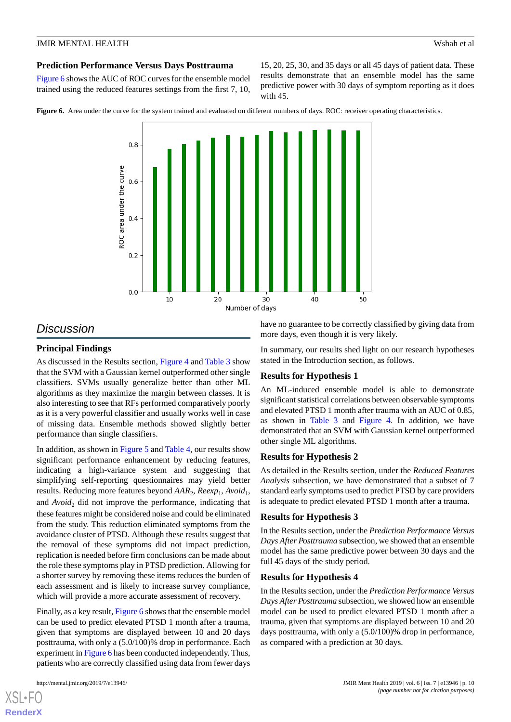#### **Prediction Performance Versus Days Posttrauma**

[Figure 6](#page-9-0) shows the AUC of ROC curves for the ensemble model trained using the reduced features settings from the first 7, 10, 15, 20, 25, 30, and 35 days or all 45 days of patient data. These results demonstrate that an ensemble model has the same predictive power with 30 days of symptom reporting as it does with 45.

<span id="page-9-0"></span>**Figure 6.** Area under the curve for the system trained and evaluated on different numbers of days. ROC: receiver operating characteristics.



# *Discussion*

### **Principal Findings**

As discussed in the Results section, [Figure 4](#page-7-1) and [Table 3](#page-8-0) show that the SVM with a Gaussian kernel outperformed other single classifiers. SVMs usually generalize better than other ML algorithms as they maximize the margin between classes. It is also interesting to see that RFs performed comparatively poorly as it is a very powerful classifier and usually works well in case of missing data. Ensemble methods showed slightly better performance than single classifiers.

In addition, as shown in [Figure 5](#page-8-1) and [Table 4,](#page-8-2) our results show significant performance enhancement by reducing features, indicating a high-variance system and suggesting that simplifying self-reporting questionnaires may yield better results. Reducing more features beyond  $AAR_2$ ,  $Reexp_1$ ,  $Avoid_1$ , and *Avoid*<sub>2</sub> did not improve the performance, indicating that these features might be considered noise and could be eliminated from the study. This reduction eliminated symptoms from the avoidance cluster of PTSD. Although these results suggest that the removal of these symptoms did not impact prediction, replication is needed before firm conclusions can be made about the role these symptoms play in PTSD prediction. Allowing for a shorter survey by removing these items reduces the burden of each assessment and is likely to increase survey compliance, which will provide a more accurate assessment of recovery.

Finally, as a key result, [Figure 6](#page-9-0) shows that the ensemble model can be used to predict elevated PTSD 1 month after a trauma, given that symptoms are displayed between 10 and 20 days posttrauma, with only a (5.0/100)% drop in performance. Each experiment in [Figure 6](#page-9-0) has been conducted independently. Thus, patients who are correctly classified using data from fewer days

[XSL](http://www.w3.org/Style/XSL)•FO **[RenderX](http://www.renderx.com/)**

have no guarantee to be correctly classified by giving data from more days, even though it is very likely.

In summary, our results shed light on our research hypotheses stated in the Introduction section, as follows.

### **Results for Hypothesis 1**

An ML-induced ensemble model is able to demonstrate significant statistical correlations between observable symptoms and elevated PTSD 1 month after trauma with an AUC of 0.85, as shown in [Table 3](#page-8-0) and [Figure 4](#page-7-1). In addition, we have demonstrated that an SVM with Gaussian kernel outperformed other single ML algorithms.

### **Results for Hypothesis 2**

As detailed in the Results section, under the *Reduced Features Analysis* subsection, we have demonstrated that a subset of 7 standard early symptoms used to predict PTSD by care providers is adequate to predict elevated PTSD 1 month after a trauma.

### **Results for Hypothesis 3**

In the Results section, under the *Prediction Performance Versus Days After Posttrauma* subsection, we showed that an ensemble model has the same predictive power between 30 days and the full 45 days of the study period.

#### **Results for Hypothesis 4**

In the Results section, under the *Prediction Performance Versus Days After Posttrauma* subsection, we showed how an ensemble model can be used to predict elevated PTSD 1 month after a trauma, given that symptoms are displayed between 10 and 20 days posttrauma, with only a (5.0/100)% drop in performance, as compared with a prediction at 30 days.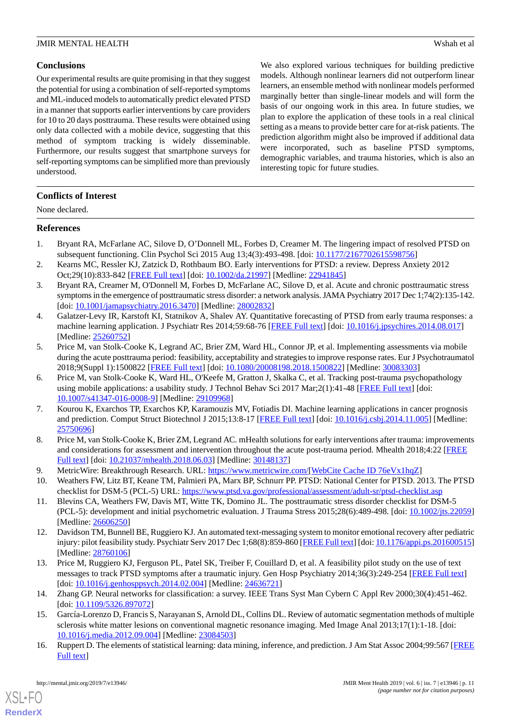# **Conclusions**

Our experimental results are quite promising in that they suggest the potential for using a combination of self-reported symptoms and ML-induced models to automatically predict elevated PTSD in a manner that supports earlier interventions by care providers for 10 to 20 days posttrauma. These results were obtained using only data collected with a mobile device, suggesting that this method of symptom tracking is widely disseminable. Furthermore, our results suggest that smartphone surveys for self-reporting symptoms can be simplified more than previously understood.

We also explored various techniques for building predictive models. Although nonlinear learners did not outperform linear learners, an ensemble method with nonlinear models performed marginally better than single-linear models and will form the basis of our ongoing work in this area. In future studies, we plan to explore the application of these tools in a real clinical setting as a means to provide better care for at-risk patients. The prediction algorithm might also be improved if additional data were incorporated, such as baseline PTSD symptoms, demographic variables, and trauma histories, which is also an interesting topic for future studies.

### **Conflicts of Interest**

None declared.

#### <span id="page-10-0"></span>**References**

- <span id="page-10-1"></span>1. Bryant RA, McFarlane AC, Silove D, O'Donnell ML, Forbes D, Creamer M. The lingering impact of resolved PTSD on subsequent functioning. Clin Psychol Sci 2015 Aug 13;4(3):493-498. [doi: [10.1177/2167702615598756](http://dx.doi.org/10.1177/2167702615598756)]
- <span id="page-10-2"></span>2. Kearns MC, Ressler KJ, Zatzick D, Rothbaum BO. Early interventions for PTSD: a review. Depress Anxiety 2012 Oct;29(10):833-842 [\[FREE Full text\]](http://europepmc.org/abstract/MED/22941845) [doi: [10.1002/da.21997](http://dx.doi.org/10.1002/da.21997)] [Medline: [22941845\]](http://www.ncbi.nlm.nih.gov/entrez/query.fcgi?cmd=Retrieve&db=PubMed&list_uids=22941845&dopt=Abstract)
- <span id="page-10-3"></span>3. Bryant RA, Creamer M, O'Donnell M, Forbes D, McFarlane AC, Silove D, et al. Acute and chronic posttraumatic stress symptoms in the emergence of posttraumatic stress disorder: a network analysis. JAMA Psychiatry 2017 Dec 1;74(2):135-142. [doi: [10.1001/jamapsychiatry.2016.3470\]](http://dx.doi.org/10.1001/jamapsychiatry.2016.3470) [Medline: [28002832](http://www.ncbi.nlm.nih.gov/entrez/query.fcgi?cmd=Retrieve&db=PubMed&list_uids=28002832&dopt=Abstract)]
- <span id="page-10-4"></span>4. Galatzer-Levy IR, Karstoft KI, Statnikov A, Shalev AY. Quantitative forecasting of PTSD from early trauma responses: a machine learning application. J Psychiatr Res 2014;59:68-76 [[FREE Full text](http://europepmc.org/abstract/MED/25260752)] [doi: [10.1016/j.jpsychires.2014.08.017](http://dx.doi.org/10.1016/j.jpsychires.2014.08.017)] [Medline: [25260752](http://www.ncbi.nlm.nih.gov/entrez/query.fcgi?cmd=Retrieve&db=PubMed&list_uids=25260752&dopt=Abstract)]
- <span id="page-10-5"></span>5. Price M, van Stolk-Cooke K, Legrand AC, Brier ZM, Ward HL, Connor JP, et al. Implementing assessments via mobile during the acute posttrauma period: feasibility, acceptability and strategies to improve response rates. Eur J Psychotraumatol 2018;9(Suppl 1):1500822 [\[FREE Full text\]](http://europepmc.org/abstract/MED/30083303) [doi: [10.1080/20008198.2018.1500822](http://dx.doi.org/10.1080/20008198.2018.1500822)] [Medline: [30083303](http://www.ncbi.nlm.nih.gov/entrez/query.fcgi?cmd=Retrieve&db=PubMed&list_uids=30083303&dopt=Abstract)]
- <span id="page-10-6"></span>6. Price M, van Stolk-Cooke K, Ward HL, O'Keefe M, Gratton J, Skalka C, et al. Tracking post-trauma psychopathology using mobile applications: a usability study. J Technol Behav Sci 2017 Mar;2(1):41-48 [\[FREE Full text\]](http://europepmc.org/abstract/MED/29109968) [doi: [10.1007/s41347-016-0008-9\]](http://dx.doi.org/10.1007/s41347-016-0008-9) [Medline: [29109968](http://www.ncbi.nlm.nih.gov/entrez/query.fcgi?cmd=Retrieve&db=PubMed&list_uids=29109968&dopt=Abstract)]
- <span id="page-10-8"></span><span id="page-10-7"></span>7. Kourou K, Exarchos TP, Exarchos KP, Karamouzis MV, Fotiadis DI. Machine learning applications in cancer prognosis and prediction. Comput Struct Biotechnol J 2015;13:8-17 [[FREE Full text](https://linkinghub.elsevier.com/retrieve/pii/S2001-0370(14)00046-4)] [doi: [10.1016/j.csbj.2014.11.005](http://dx.doi.org/10.1016/j.csbj.2014.11.005)] [Medline: [25750696](http://www.ncbi.nlm.nih.gov/entrez/query.fcgi?cmd=Retrieve&db=PubMed&list_uids=25750696&dopt=Abstract)]
- <span id="page-10-10"></span><span id="page-10-9"></span>8. Price M, van Stolk-Cooke K, Brier ZM, Legrand AC. mHealth solutions for early interventions after trauma: improvements and considerations for assessment and intervention throughout the acute post-trauma period. Mhealth 2018;4:22 [\[FREE](http://dx.doi.org/10.21037/mhealth.2018.06.03) [Full text\]](http://dx.doi.org/10.21037/mhealth.2018.06.03) [doi: [10.21037/mhealth.2018.06.03](http://dx.doi.org/10.21037/mhealth.2018.06.03)] [Medline: [30148137\]](http://www.ncbi.nlm.nih.gov/entrez/query.fcgi?cmd=Retrieve&db=PubMed&list_uids=30148137&dopt=Abstract)
- 9. MetricWire: Breakthrough Research. URL: [https://www.metricwire.com/\[](https://www.metricwire.com/)[WebCite Cache ID 76eVx1hqZ](http://www.webcitation.org/

                 76eVx1hqZ)]
- <span id="page-10-11"></span>10. Weathers FW, Litz BT, Keane TM, Palmieri PA, Marx BP, Schnurr PP. PTSD: National Center for PTSD. 2013. The PTSD checklist for DSM-5 (PCL-5) URL:<https://www.ptsd.va.gov/professional/assessment/adult-sr/ptsd-checklist.asp>
- <span id="page-10-12"></span>11. Blevins CA, Weathers FW, Davis MT, Witte TK, Domino JL. The posttraumatic stress disorder checklist for DSM-5 (PCL-5): development and initial psychometric evaluation. J Trauma Stress 2015;28(6):489-498. [doi: [10.1002/jts.22059](http://dx.doi.org/10.1002/jts.22059)] [Medline: [26606250](http://www.ncbi.nlm.nih.gov/entrez/query.fcgi?cmd=Retrieve&db=PubMed&list_uids=26606250&dopt=Abstract)]
- <span id="page-10-13"></span>12. Davidson TM, Bunnell BE, Ruggiero KJ. An automated text-messaging system to monitor emotional recovery after pediatric injury: pilot feasibility study. Psychiatr Serv 2017 Dec 1;68(8):859-860 [[FREE Full text\]](http://europepmc.org/abstract/MED/28760106) [doi: [10.1176/appi.ps.201600515](http://dx.doi.org/10.1176/appi.ps.201600515)] [Medline: [28760106](http://www.ncbi.nlm.nih.gov/entrez/query.fcgi?cmd=Retrieve&db=PubMed&list_uids=28760106&dopt=Abstract)]
- <span id="page-10-14"></span>13. Price M, Ruggiero KJ, Ferguson PL, Patel SK, Treiber F, Couillard D, et al. A feasibility pilot study on the use of text messages to track PTSD symptoms after a traumatic injury. Gen Hosp Psychiatry 2014;36(3):249-254 [\[FREE Full text\]](http://europepmc.org/abstract/MED/24636721) [doi: [10.1016/j.genhosppsych.2014.02.004\]](http://dx.doi.org/10.1016/j.genhosppsych.2014.02.004) [Medline: [24636721](http://www.ncbi.nlm.nih.gov/entrez/query.fcgi?cmd=Retrieve&db=PubMed&list_uids=24636721&dopt=Abstract)]
- <span id="page-10-15"></span>14. Zhang GP. Neural networks for classification: a survey. IEEE Trans Syst Man Cybern C Appl Rev 2000;30(4):451-462. [doi: [10.1109/5326.897072\]](http://dx.doi.org/10.1109/5326.897072)
- 15. García-Lorenzo D, Francis S, Narayanan S, Arnold DL, Collins DL. Review of automatic segmentation methods of multiple sclerosis white matter lesions on conventional magnetic resonance imaging. Med Image Anal 2013;17(1):1-18. [doi: [10.1016/j.media.2012.09.004](http://dx.doi.org/10.1016/j.media.2012.09.004)] [Medline: [23084503\]](http://www.ncbi.nlm.nih.gov/entrez/query.fcgi?cmd=Retrieve&db=PubMed&list_uids=23084503&dopt=Abstract)
- 16. Ruppert D. The elements of statistical learning: data mining, inference, and prediction. J Am Stat Assoc 2004;99:567 [\[FREE](https://econpapers.repec.org/article/besjnlasa/v_3a99_3ay_3a2004_3ap_3a567-567.htm) [Full text\]](https://econpapers.repec.org/article/besjnlasa/v_3a99_3ay_3a2004_3ap_3a567-567.htm)